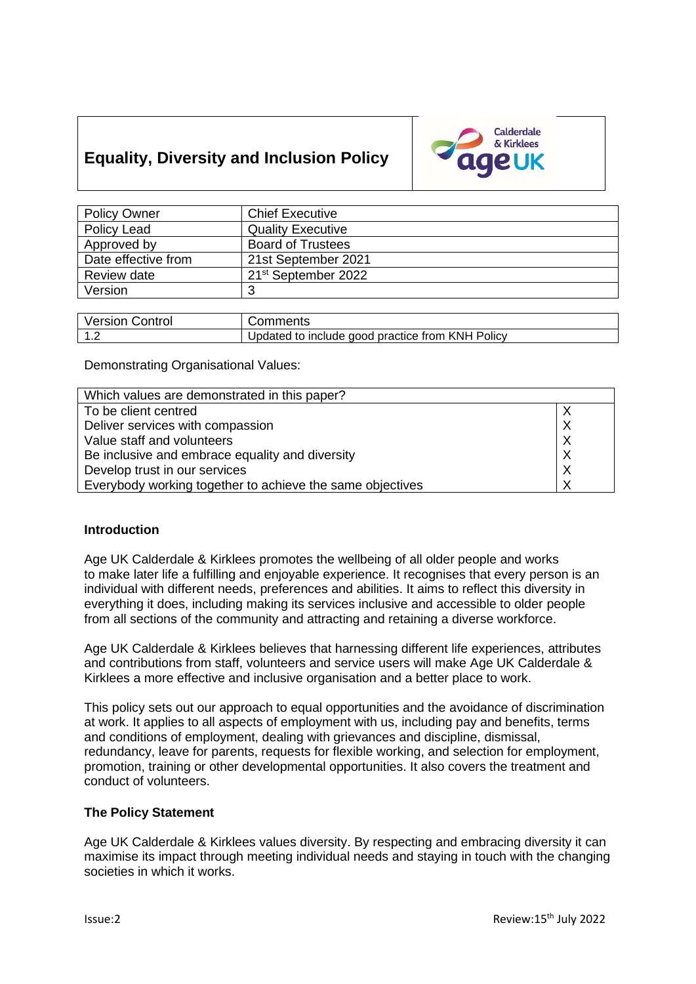# **Equality, Diversity and Inclusion Policy**



| <b>Policy Owner</b>                | <b>Chief Executive</b>          |
|------------------------------------|---------------------------------|
| Policy Lead                        | <b>Quality Executive</b>        |
| Approved by                        | <b>Board of Trustees</b>        |
| Date effective from                | 21st September 2021             |
| Review date                        | 21 <sup>st</sup> September 2022 |
| Version                            | વ                               |
|                                    |                                 |
| $\sim$ $\sim$ $\sim$ $\sim$<br>___ |                                 |

| <b>Version Control</b> | Comments                                         |
|------------------------|--------------------------------------------------|
| $\overline{A}$         | Updated to include good practice from KNH Policy |

Demonstrating Organisational Values:

| Which values are demonstrated in this paper?              |          |  |
|-----------------------------------------------------------|----------|--|
| To be client centred                                      |          |  |
| Deliver services with compassion                          |          |  |
| Value staff and volunteers                                | X        |  |
| Be inclusive and embrace equality and diversity           | $\times$ |  |
| Develop trust in our services                             |          |  |
| Everybody working together to achieve the same objectives |          |  |

# **Introduction**

Age UK Calderdale & Kirklees promotes the wellbeing of all older people and works to make later life a fulfilling and enjoyable experience. It recognises that every person is an individual with different needs, preferences and abilities. It aims to reflect this diversity in everything it does, including making its services inclusive and accessible to older people from all sections of the community and attracting and retaining a diverse workforce.

Age UK Calderdale & Kirklees believes that harnessing different life experiences, attributes and contributions from staff, volunteers and service users will make Age UK Calderdale & Kirklees a more effective and inclusive organisation and a better place to work.

This policy sets out our approach to equal opportunities and the avoidance of discrimination at work. It applies to all aspects of employment with us, including pay and benefits, terms and conditions of employment, dealing with grievances and discipline, dismissal, redundancy, leave for parents, requests for flexible working, and selection for employment, promotion, training or other developmental opportunities. It also covers the treatment and conduct of volunteers.

#### **The Policy Statement**

Age UK Calderdale & Kirklees values diversity. By respecting and embracing diversity it can maximise its impact through meeting individual needs and staying in touch with the changing societies in which it works.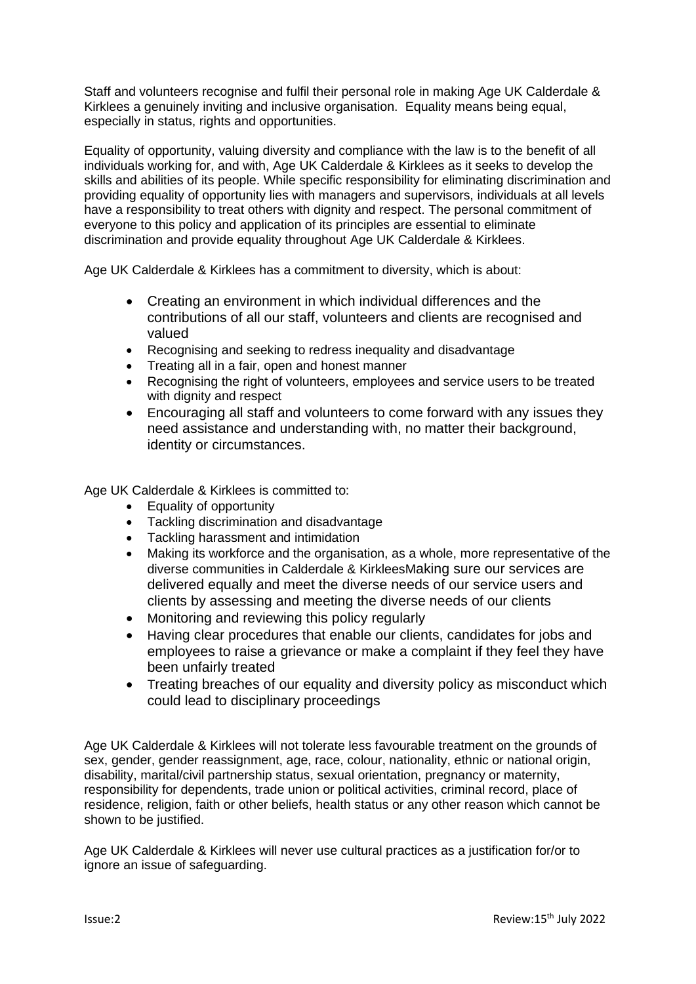Staff and volunteers recognise and fulfil their personal role in making Age UK Calderdale & Kirklees a genuinely inviting and inclusive organisation. Equality means being equal, especially in status, rights and opportunities.

Equality of opportunity, valuing diversity and compliance with the law is to the benefit of all individuals working for, and with, Age UK Calderdale & Kirklees as it seeks to develop the skills and abilities of its people. While specific responsibility for eliminating discrimination and providing equality of opportunity lies with managers and supervisors, individuals at all levels have a responsibility to treat others with dignity and respect. The personal commitment of everyone to this policy and application of its principles are essential to eliminate discrimination and provide equality throughout Age UK Calderdale & Kirklees.

Age UK Calderdale & Kirklees has a commitment to diversity, which is about:

- Creating an environment in which individual differences and the contributions of all our staff, volunteers and clients are recognised and valued
- Recognising and seeking to redress inequality and disadvantage
- Treating all in a fair, open and honest manner
- Recognising the right of volunteers, employees and service users to be treated with dignity and respect
- Encouraging all staff and volunteers to come forward with any issues they need assistance and understanding with, no matter their background, identity or circumstances.

Age UK Calderdale & Kirklees is committed to:

- Equality of opportunity
- Tackling discrimination and disadvantage
- Tackling harassment and intimidation
- Making its workforce and the organisation, as a whole, more representative of the diverse communities in Calderdale & KirkleesMaking sure our services are delivered equally and meet the diverse needs of our service users and clients by assessing and meeting the diverse needs of our clients
- Monitoring and reviewing this policy regularly
- Having clear procedures that enable our clients, candidates for jobs and employees to raise a grievance or make a complaint if they feel they have been unfairly treated
- Treating breaches of our equality and diversity policy as misconduct which could lead to disciplinary proceedings

Age UK Calderdale & Kirklees will not tolerate less favourable treatment on the grounds of sex, gender, gender reassignment, age, race, colour, nationality, ethnic or national origin, disability, marital/civil partnership status, sexual orientation, pregnancy or maternity, responsibility for dependents, trade union or political activities, criminal record, place of residence, religion, faith or other beliefs, health status or any other reason which cannot be shown to be justified.

Age UK Calderdale & Kirklees will never use cultural practices as a justification for/or to ignore an issue of safeguarding.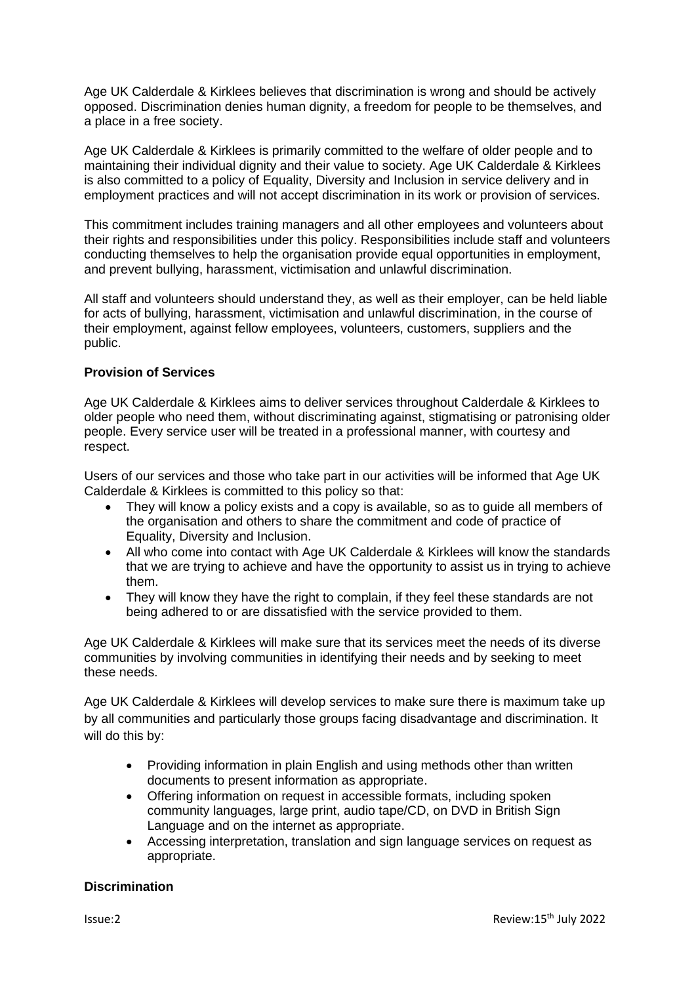Age UK Calderdale & Kirklees believes that discrimination is wrong and should be actively opposed. Discrimination denies human dignity, a freedom for people to be themselves, and a place in a free society.

Age UK Calderdale & Kirklees is primarily committed to the welfare of older people and to maintaining their individual dignity and their value to society. Age UK Calderdale & Kirklees is also committed to a policy of Equality, Diversity and Inclusion in service delivery and in employment practices and will not accept discrimination in its work or provision of services.

This commitment includes training managers and all other employees and volunteers about their rights and responsibilities under this policy. Responsibilities include staff and volunteers conducting themselves to help the organisation provide equal opportunities in employment, and prevent bullying, harassment, victimisation and unlawful discrimination.

All staff and volunteers should understand they, as well as their employer, can be held liable for acts of bullying, harassment, victimisation and unlawful discrimination, in the course of their employment, against fellow employees, volunteers, customers, suppliers and the public.

## **Provision of Services**

Age UK Calderdale & Kirklees aims to deliver services throughout Calderdale & Kirklees to older people who need them, without discriminating against, stigmatising or patronising older people. Every service user will be treated in a professional manner, with courtesy and respect.

Users of our services and those who take part in our activities will be informed that Age UK Calderdale & Kirklees is committed to this policy so that:

- They will know a policy exists and a copy is available, so as to quide all members of the organisation and others to share the commitment and code of practice of Equality, Diversity and Inclusion.
- All who come into contact with Age UK Calderdale & Kirklees will know the standards that we are trying to achieve and have the opportunity to assist us in trying to achieve them.
- They will know they have the right to complain, if they feel these standards are not being adhered to or are dissatisfied with the service provided to them.

Age UK Calderdale & Kirklees will make sure that its services meet the needs of its diverse communities by involving communities in identifying their needs and by seeking to meet these needs.

Age UK Calderdale & Kirklees will develop services to make sure there is maximum take up by all communities and particularly those groups facing disadvantage and discrimination. It will do this by:

- Providing information in plain English and using methods other than written documents to present information as appropriate.
- Offering information on request in accessible formats, including spoken community languages, large print, audio tape/CD, on DVD in British Sign Language and on the internet as appropriate.
- Accessing interpretation, translation and sign language services on request as appropriate.

#### **Discrimination**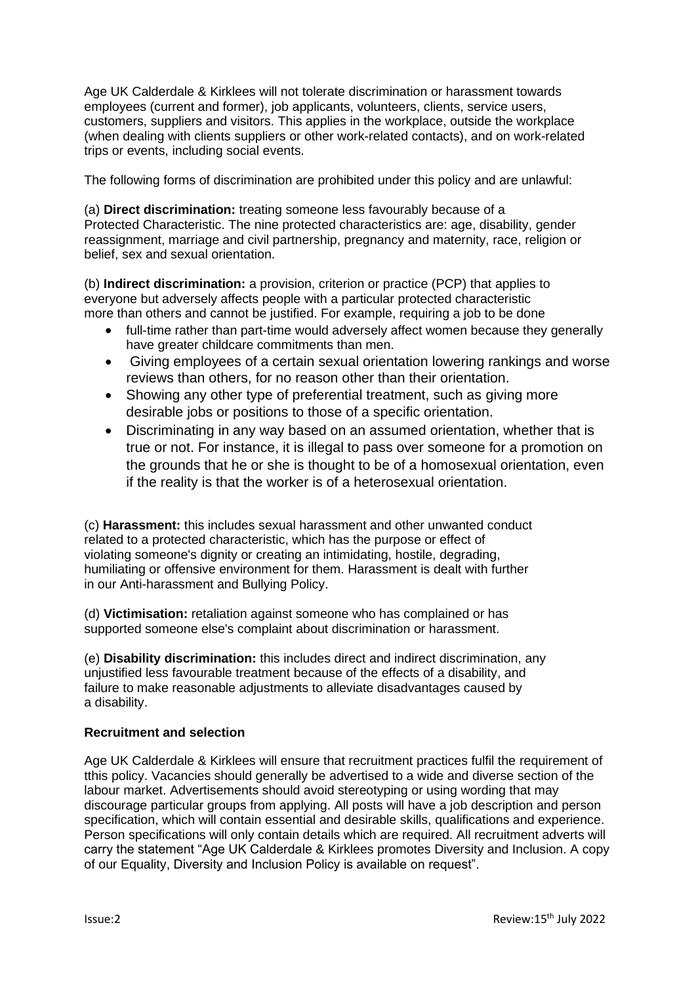Age UK Calderdale & Kirklees will not tolerate discrimination or harassment towards employees (current and former), job applicants, volunteers, clients, service users, customers, suppliers and visitors. This applies in the workplace, outside the workplace (when dealing with clients suppliers or other work-related contacts), and on work-related trips or events, including social events.

The following forms of discrimination are prohibited under this policy and are unlawful:

(a) **Direct discrimination:** treating someone less favourably because of a Protected Characteristic. The nine protected characteristics are: age, disability, gender reassignment, marriage and civil partnership, pregnancy and maternity, race, religion or belief, sex and sexual orientation.

(b) **Indirect discrimination:** a provision, criterion or practice (PCP) that applies to everyone but adversely affects people with a particular protected characteristic more than others and cannot be justified. For example, requiring a job to be done

- full-time rather than part-time would adversely affect women because they generally have greater childcare commitments than men.
- Giving employees of a certain sexual orientation lowering rankings and worse reviews than others, for no reason other than their orientation.
- Showing any other type of preferential treatment, such as giving more desirable jobs or positions to those of a specific orientation.
- Discriminating in any way based on an assumed orientation, whether that is true or not. For instance, it is illegal to pass over someone for a promotion on the grounds that he or she is thought to be of a homosexual orientation, even if the reality is that the worker is of a heterosexual orientation.

(c) **Harassment:** this includes sexual harassment and other unwanted conduct related to a protected characteristic, which has the purpose or effect of violating someone's dignity or creating an intimidating, hostile, degrading, humiliating or offensive environment for them. Harassment is dealt with further in our Anti-harassment and Bullying Policy.

(d) **Victimisation:** retaliation against someone who has complained or has supported someone else's complaint about discrimination or harassment.

(e) **Disability discrimination:** this includes direct and indirect discrimination, any unjustified less favourable treatment because of the effects of a disability, and failure to make reasonable adjustments to alleviate disadvantages caused by a disability.

# **Recruitment and selection**

Age UK Calderdale & Kirklees will ensure that recruitment practices fulfil the requirement of tthis policy. Vacancies should generally be advertised to a wide and diverse section of the labour market. Advertisements should avoid stereotyping or using wording that may discourage particular groups from applying. All posts will have a job description and person specification, which will contain essential and desirable skills, qualifications and experience. Person specifications will only contain details which are required. All recruitment adverts will carry the statement "Age UK Calderdale & Kirklees promotes Diversity and Inclusion. A copy of our Equality, Diversity and Inclusion Policy is available on request".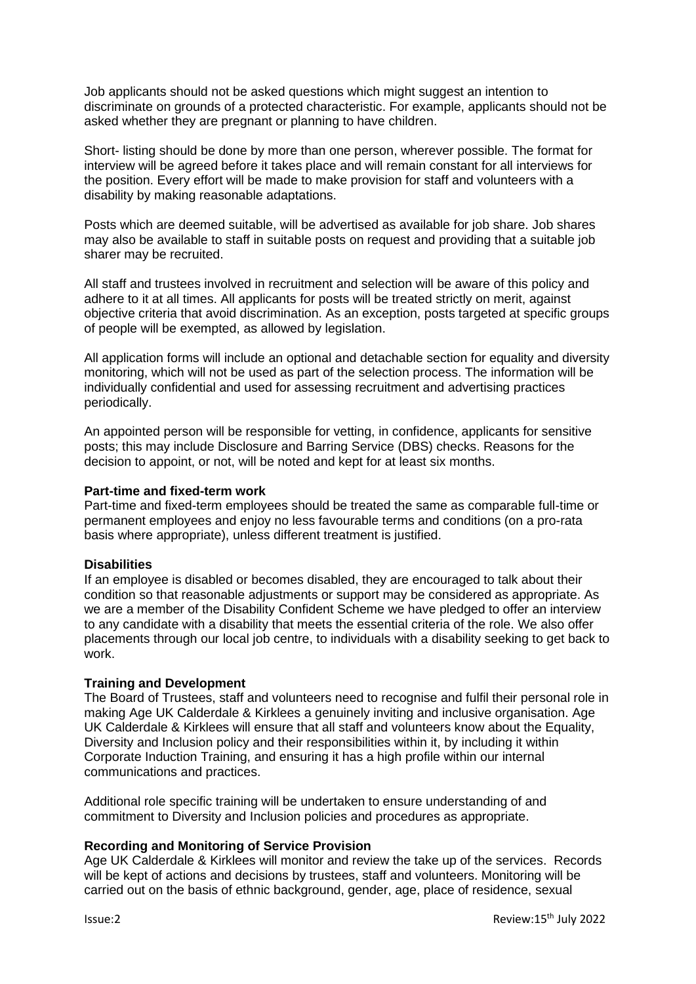Job applicants should not be asked questions which might suggest an intention to discriminate on grounds of a protected characteristic. For example, applicants should not be asked whether they are pregnant or planning to have children.

Short- listing should be done by more than one person, wherever possible. The format for interview will be agreed before it takes place and will remain constant for all interviews for the position. Every effort will be made to make provision for staff and volunteers with a disability by making reasonable adaptations.

Posts which are deemed suitable, will be advertised as available for job share. Job shares may also be available to staff in suitable posts on request and providing that a suitable job sharer may be recruited.

All staff and trustees involved in recruitment and selection will be aware of this policy and adhere to it at all times. All applicants for posts will be treated strictly on merit, against objective criteria that avoid discrimination. As an exception, posts targeted at specific groups of people will be exempted, as allowed by legislation.

All application forms will include an optional and detachable section for equality and diversity monitoring, which will not be used as part of the selection process. The information will be individually confidential and used for assessing recruitment and advertising practices periodically.

An appointed person will be responsible for vetting, in confidence, applicants for sensitive posts; this may include Disclosure and Barring Service (DBS) checks. Reasons for the decision to appoint, or not, will be noted and kept for at least six months.

## **Part-time and fixed-term work**

Part-time and fixed-term employees should be treated the same as comparable full-time or permanent employees and enjoy no less favourable terms and conditions (on a pro-rata basis where appropriate), unless different treatment is justified.

# **Disabilities**

If an employee is disabled or becomes disabled, they are encouraged to talk about their condition so that reasonable adjustments or support may be considered as appropriate. As we are a member of the Disability Confident Scheme we have pledged to offer an interview to any candidate with a disability that meets the essential criteria of the role. We also offer placements through our local job centre, to individuals with a disability seeking to get back to work.

# **Training and Development**

The Board of Trustees, staff and volunteers need to recognise and fulfil their personal role in making Age UK Calderdale & Kirklees a genuinely inviting and inclusive organisation. Age UK Calderdale & Kirklees will ensure that all staff and volunteers know about the Equality, Diversity and Inclusion policy and their responsibilities within it, by including it within Corporate Induction Training, and ensuring it has a high profile within our internal communications and practices.

Additional role specific training will be undertaken to ensure understanding of and commitment to Diversity and Inclusion policies and procedures as appropriate.

#### **Recording and Monitoring of Service Provision**

Age UK Calderdale & Kirklees will monitor and review the take up of the services. Records will be kept of actions and decisions by trustees, staff and volunteers. Monitoring will be carried out on the basis of ethnic background, gender, age, place of residence, sexual